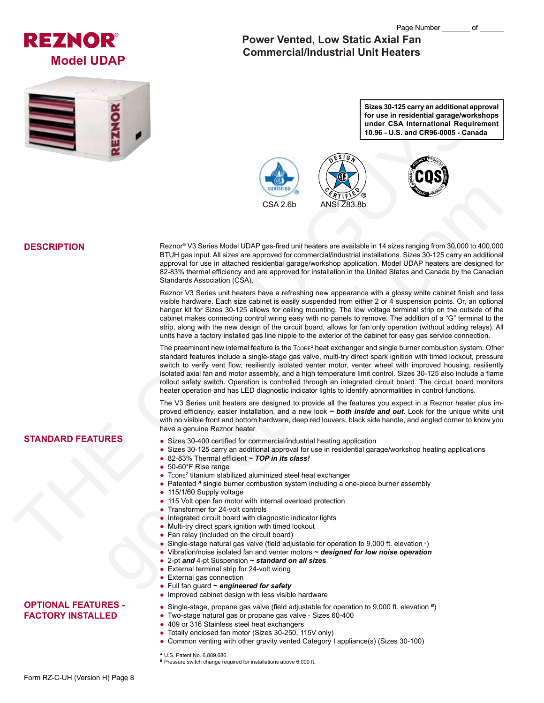



# **Power Vented, Low Static Axial Fan Commercial/Industrial Unit Heaters**

**Sizes 30-125 carry an additional approval for use in residential garage/workshops under CSA International Requirement 10.96 - U.S. and CR96-0005 - Canada**



## **DESCRIPTION**

Reznor® V3 Series Model UDAP gas-fired unit heaters are available in 14 sizes ranging from 30,000 to 400,000 BTUH gas input. All sizes are approved for commercial/industrial installations. Sizes 30-125 carry an additional approval for use in attached residential garage/workshop application. Model UDAP heaters are designed for 82-83% thermal efficiency and are approved for installation in the United States and Canada by the Canadian Standards Association (CSA).

Reznor V3 Series unit heaters have a refreshing new appearance with a glossy white cabinet finish and less visible hardware. Each size cabinet is easily suspended from either 2 or 4 suspension points. Or, an optional hanger kit for Sizes 30-125 allows for ceiling mounting. The low voltage terminal strip on the outside of the cabinet makes connecting control wiring easy with no panels to remove. The addition of a "G" terminal to the strip, along with the new design of the circuit board, allows for fan only operation (without adding relays). All units have a factory installed gas line nipple to the exterior of the cabinet for easy gas service connection.

The preeminent new internal feature is the Tcore<sup>2</sup> heat exchanger and single burner combustion system. Other standard features include a single-stage gas valve, multi-try direct spark ignition with timed lockout, pressure switch to verify vent flow, resiliently isolated venter motor, venter wheel with improved housing, resiliently isolated axial fan and motor assembly, and a high temperature limit control. Sizes 30-125 also include a flame rollout safety switch. Operation is controlled through an integrated circuit board. The circuit board monitors heater operation and has LED diagnostic indicator lights to identify abnormalities in control functions. Record V3 Series Model UDAP gas Hired Markins and NSI Z253 8b<br>
Record V3 Series Model UDAP gas Hired und heates are evaluate in 14 attest and gas month of the control of the state and the control of the state and the cont

The V3 Series unit heaters are designed to provide all the features you expect in a Reznor heater plus improved efficiency, easier installation, and a new look *~ both inside and out.* Look for the unique white unit with no visible front and bottom hardware, deep red louvers, black side handle, and angled corner to know you have a genuine Reznor heater.

## **STANDARD FEATURES**

- Sizes 30-400 certified for commercial/industrial heating application
- Sizes 30-125 carry an additional approval for use in residential garage/workshop heating applications
- 82-83% Thermal efficient **~** *TOP in its class!*
- 50-60°F Rise range
- $\bullet$  Tcore<sup>2</sup> titanium stabilized aluminized steel heat exchanger
- Patented *<sup>A</sup>* single burner combustion system including a one-piece burner assembly
- 115/1/60 Supply voltage
- 115 Volt open fan motor with internal overload protection
- Transformer for 24-volt controls
- Integrated circuit board with diagnostic indicator lights
- Multi-try direct spark ignition with timed lockout
- Fan relay (included on the circuit board)
- Single-stage natural gas valve (field adjustable for operation to 9,000 ft. elevation  $\circ$ )
- Vibration/noise isolated fan and venter motors **~** *designed for low noise operation*
- 2-pt *and* 4-pt Suspension **~** *standard on all sizes*
- External terminal strip for 24-volt wiring
- External gas connection
- Full fan guard **~** *engineered for safety*
- Improved cabinet design with less visible hardware

#### ● Single-stage, propane gas valve (field adjustable for operation to 9,000 ft. elevation *<sup>B</sup>*)

- Two-stage natural gas or propane gas valve Sizes 60-400
- 409 or 316 Stainless steel heat exchangers
- Totally enclosed fan motor (Sizes 30-250, 115V only)
- Common venting with other gravity vented Category I appliance(s) (Sizes 30-100)

*<sup>A</sup>* U.S. Patent No. 6,889,686.

**B** Pressure switch change required for installations above 6,000 ft.

**OPTIONAL FEATURES - FACTORY INSTALLED**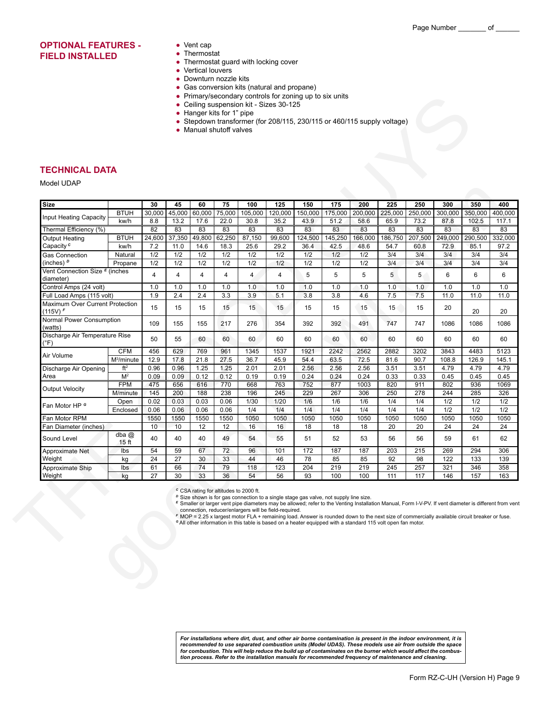## **OPTIONAL FEATURES - FIELD INSTALLED**

- Vent cap
- Thermostat
- Thermostat guard with locking cover
- Vertical louvers
- Downturn nozzle kits
- Gas conversion kits (natural and propane)
- Primary/secondary controls for zoning up to six units
- Ceiling suspension kit Sizes 30-125
- Hanger kits for 1" pipe
- Stepdown transformer (for 208/115, 230/115 or 460/115 supply voltage)
- Manual shutoff valves

#### **TECHNICAL DATA**

|                                                                                                                                                                                                                                                                                                                                                                                                                                                                          |                             | 30              | 45         | 60         | 75         | 100            | 125                     | 150        | 175        | 200         | 225        |             |                                                                                                                                                                                                                                                                                                                                                                                                                                                                                                                                                  |                                                                                                       |
|--------------------------------------------------------------------------------------------------------------------------------------------------------------------------------------------------------------------------------------------------------------------------------------------------------------------------------------------------------------------------------------------------------------------------------------------------------------------------|-----------------------------|-----------------|------------|------------|------------|----------------|-------------------------|------------|------------|-------------|------------|-------------|--------------------------------------------------------------------------------------------------------------------------------------------------------------------------------------------------------------------------------------------------------------------------------------------------------------------------------------------------------------------------------------------------------------------------------------------------------------------------------------------------------------------------------------------------|-------------------------------------------------------------------------------------------------------|
|                                                                                                                                                                                                                                                                                                                                                                                                                                                                          | <b>BTUH</b>                 | 30,000          | 45,000     | 60,000     | 75,000     | 105,000        | 120,000                 | 150,000    | 175,000    | 200,000     | 225,000    | 250,000     |                                                                                                                                                                                                                                                                                                                                                                                                                                                                                                                                                  |                                                                                                       |
|                                                                                                                                                                                                                                                                                                                                                                                                                                                                          | kw/h                        | 8.8             | 13.2       | 17.6       | 22.0       | 30.8           | 35.2                    | 43.9       | 51.2       | 58.6        | 65.9       | 73.2        | 87.8                                                                                                                                                                                                                                                                                                                                                                                                                                                                                                                                             | 102.5                                                                                                 |
| Thermal Efficiency (%)                                                                                                                                                                                                                                                                                                                                                                                                                                                   |                             | 82              | 83         | 83         | 83         | 83             | 83                      | 83         | 83         | 83          | 83         | 83          | 83                                                                                                                                                                                                                                                                                                                                                                                                                                                                                                                                               | 83                                                                                                    |
| <b>Output Heating</b>                                                                                                                                                                                                                                                                                                                                                                                                                                                    | <b>BTUH</b>                 | 24,600          | 37,350     | 49,800     | 62,250     | 87,150         | 99,600                  | 124,500    | 145,250    | 166,000     | 186,750    | 207,500     | 249,000                                                                                                                                                                                                                                                                                                                                                                                                                                                                                                                                          |                                                                                                       |
| Capacity <sup>c</sup>                                                                                                                                                                                                                                                                                                                                                                                                                                                    | kw/h                        | 7.2             | 11.0       | 14.6       | 18.3       | 25.6           | 29.2                    | 36.4       | 42.5       | 48.6        | 54.7       | 60.8        | 72.9                                                                                                                                                                                                                                                                                                                                                                                                                                                                                                                                             | 85.1                                                                                                  |
| <b>TECHNICAL DATA</b><br>Model UDAP<br><b>Size</b><br>Input Heating Capacity<br>Gas Connection<br>(inches) $P$<br>Vent Connection Size <sup>E</sup> (inches<br>diameter)<br>Control Amps (24 volt)<br>Full Load Amps (115 volt)<br>(115V) F<br>(watts)<br>$(^{\circ}F)$<br>Air Volume<br>Discharge Air Opening<br>Area<br><b>Output Velocity</b><br>Fan Motor HP <sup>e</sup><br>Fan Motor RPM<br>Sound Level<br>Approximate Net<br>Weight<br>Approximate Ship<br>Weight | Natural                     | 1/2             | 1/2        | 1/2        | 1/2        | 1/2            | 1/2                     | 1/2        | 1/2        | 1/2         | 3/4        | 3/4         |                                                                                                                                                                                                                                                                                                                                                                                                                                                                                                                                                  |                                                                                                       |
|                                                                                                                                                                                                                                                                                                                                                                                                                                                                          | Propane                     | 1/2             | 1/2        | 1/2        | 1/2        | 1/2            | 1/2                     | 1/2        | 1/2        | 1/2         | 3/4        |             |                                                                                                                                                                                                                                                                                                                                                                                                                                                                                                                                                  |                                                                                                       |
|                                                                                                                                                                                                                                                                                                                                                                                                                                                                          |                             | 4               | 4          | 4          | 4          | $\overline{4}$ | 4                       | 5          | 5          | 5           | 5          | $5^{\circ}$ | 6                                                                                                                                                                                                                                                                                                                                                                                                                                                                                                                                                | 6                                                                                                     |
|                                                                                                                                                                                                                                                                                                                                                                                                                                                                          |                             | 1.0             | 1.0        | 1.0        | 1.0        | 1.0            | 1.0                     | 1.0        | 1.0        | 1.0         | 1.0        |             |                                                                                                                                                                                                                                                                                                                                                                                                                                                                                                                                                  |                                                                                                       |
|                                                                                                                                                                                                                                                                                                                                                                                                                                                                          |                             | 1.9             | 2.4        | 2.4        | 3.3        | 3.9            | 5.1                     | 3.8        | 3.8        | 4.6         | 7.5        |             |                                                                                                                                                                                                                                                                                                                                                                                                                                                                                                                                                  |                                                                                                       |
| Maximum Over Current Protection                                                                                                                                                                                                                                                                                                                                                                                                                                          |                             | 15              | 15         | 15         | 15         | 15             | 15                      | 15         | 15         | 15          | 15         | 15          | 20                                                                                                                                                                                                                                                                                                                                                                                                                                                                                                                                               | 20                                                                                                    |
| Normal Power Consumption                                                                                                                                                                                                                                                                                                                                                                                                                                                 |                             | 109             | 155        | 155        | 217        | 276            | 354                     | 392        | 392        | 491         | 747        | 747         | 1086                                                                                                                                                                                                                                                                                                                                                                                                                                                                                                                                             | 1086                                                                                                  |
| Discharge Air Temperature Rise                                                                                                                                                                                                                                                                                                                                                                                                                                           |                             | 50              | 55         | 60         | 60         | 60             | 60                      | 60         | 60         | 60          | 60         | 60          | 60                                                                                                                                                                                                                                                                                                                                                                                                                                                                                                                                               | 60                                                                                                    |
|                                                                                                                                                                                                                                                                                                                                                                                                                                                                          | <b>CFM</b>                  | 456             | 629        | 769        | 961        | 1345           | 1537                    | 1921       | 2242       | 2562        | 2882       | 3202        | 3843                                                                                                                                                                                                                                                                                                                                                                                                                                                                                                                                             | 4483                                                                                                  |
|                                                                                                                                                                                                                                                                                                                                                                                                                                                                          | $M^3/minute$                | 12.9            | 17.8       | 21.8       | 27.5       | 36.7           | 45.9                    | 54.4       | 63.5       | 72.5        | 81.6       |             |                                                                                                                                                                                                                                                                                                                                                                                                                                                                                                                                                  |                                                                                                       |
|                                                                                                                                                                                                                                                                                                                                                                                                                                                                          | $\mathrm{ft}^2$             | 0.96            | 0.96       | 1.25       | 1.25       | 2.01           | 2.01                    | 2.56       | 2.56       | 2.56        | 3.51       |             |                                                                                                                                                                                                                                                                                                                                                                                                                                                                                                                                                  |                                                                                                       |
|                                                                                                                                                                                                                                                                                                                                                                                                                                                                          | M <sup>2</sup>              | 0.09            | 0.09       | 0.12       | 0.12       | 0.19           | 0.19                    | 0.24       | 0.24       | 0.24        | 0.33       |             |                                                                                                                                                                                                                                                                                                                                                                                                                                                                                                                                                  |                                                                                                       |
|                                                                                                                                                                                                                                                                                                                                                                                                                                                                          | <b>FPM</b><br>M/minute      | 475<br>145      | 656<br>200 | 616<br>188 | 770<br>238 | 668<br>196     | 763<br>$\overline{245}$ | 752<br>229 | 877<br>267 | 1003<br>306 | 820<br>250 |             | 1.0<br>1.0<br>1.0<br>7.5<br>11.0<br>11.0<br>90.7<br>108.8<br>126.9<br>3.51<br>4.79<br>4.79<br>0.33<br>0.45<br>0.45<br>911<br>802<br>936<br>278<br>244<br>285                                                                                                                                                                                                                                                                                                                                                                                     |                                                                                                       |
|                                                                                                                                                                                                                                                                                                                                                                                                                                                                          | Open                        | 0.02            | 0.03       | 0.03       | 0.06       | 1/30           | $1/20$                  | 1/6        | 1/6        | 1/6         | 1/4        |             |                                                                                                                                                                                                                                                                                                                                                                                                                                                                                                                                                  | 350<br>350,000<br>290,500<br>3/4<br>3/4<br>1/2<br>1/2<br>1050<br>24<br>61<br>294<br>133<br>346<br>157 |
|                                                                                                                                                                                                                                                                                                                                                                                                                                                                          | Enclosed                    | 0.06            | 0.06       | 0.06       | 0.06       | 1/4            | 1/4                     | 1/4        | 1/4        | 1/4         | 1/4        |             |                                                                                                                                                                                                                                                                                                                                                                                                                                                                                                                                                  |                                                                                                       |
|                                                                                                                                                                                                                                                                                                                                                                                                                                                                          |                             | 1550            | 1550       | 1550       | 1550       | 1050           | 1050                    | 1050       | 1050       | 1050        | 1050       | 1050        |                                                                                                                                                                                                                                                                                                                                                                                                                                                                                                                                                  |                                                                                                       |
| Fan Diameter (inches)                                                                                                                                                                                                                                                                                                                                                                                                                                                    |                             | 10              | 10         | 12         | 12         | 16             | 16                      | 18         | 18         | 18          | 20         | 20          | 24                                                                                                                                                                                                                                                                                                                                                                                                                                                                                                                                               |                                                                                                       |
|                                                                                                                                                                                                                                                                                                                                                                                                                                                                          | dba $@$<br>15 <sub>ft</sub> | 40              | 40         | 40         | 49         | 54             | 55                      | 51         | 52         | 53          | 56         | 56          | 59                                                                                                                                                                                                                                                                                                                                                                                                                                                                                                                                               |                                                                                                       |
|                                                                                                                                                                                                                                                                                                                                                                                                                                                                          | Ibs                         | 54              | 59         | 67         | 72         | 96             | 101                     | 172        | 187        | 187         | 203        | 215         | 250<br>300<br>300,000<br>3/4<br>3/4<br>3/4<br>1/2<br>1/4<br>1/2<br>1/4<br>1050<br>269<br>122<br>321<br>146<br>E Smaller or larger vent pipe diameters may be allowed; refer to the Venting Installation Manual, Form I-V-PV. If vent diameter is different from vent<br>F MOP = 2.25 x largest motor FLA + remaining load. Answer is rounded down to the next size of commercially available circuit breaker or fuse.<br><sup>G</sup> All other information in this table is based on a heater equipped with a standard 115 volt open fan motor. |                                                                                                       |
|                                                                                                                                                                                                                                                                                                                                                                                                                                                                          | kg                          | $\overline{24}$ | 27         | 30         | 33         | 44             | 46                      | 78         | 85         | 85          | 92         | 98          |                                                                                                                                                                                                                                                                                                                                                                                                                                                                                                                                                  |                                                                                                       |
|                                                                                                                                                                                                                                                                                                                                                                                                                                                                          | Ibs                         | 61              | 66         | 74         | 79         | 118            | 123                     | 204        | 219        | 219         | 245        | 257         |                                                                                                                                                                                                                                                                                                                                                                                                                                                                                                                                                  |                                                                                                       |
|                                                                                                                                                                                                                                                                                                                                                                                                                                                                          | kg                          | 27              | 30         | 33         | 36         | 54             | 56                      | 93         | 100        | 100         | 111        | 117         |                                                                                                                                                                                                                                                                                                                                                                                                                                                                                                                                                  |                                                                                                       |

For installations where dirt, dust, and other air borne contamination is present in the indoor environment, it is<br>recommended to use separated combustion units (Model UDAS). These models use air from outside the space for combustion. This will help reduce the build up of contaminates on the burner which would affect the combus-<br>tion process. Refer to the installation manuals for recommended frequency of maintenance and cleaning.